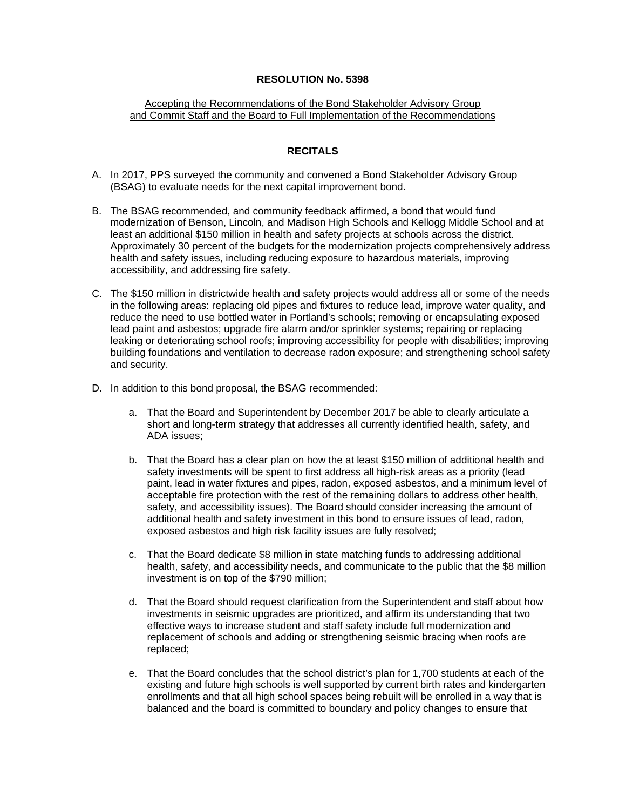## **RESOLUTION No. 5398**

## Accepting the Recommendations of the Bond Stakeholder Advisory Group and Commit Staff and the Board to Full Implementation of the Recommendations

## **RECITALS**

- A. In 2017, PPS surveyed the community and convened a Bond Stakeholder Advisory Group (BSAG) to evaluate needs for the next capital improvement bond.
- B. The BSAG recommended, and community feedback affirmed, a bond that would fund modernization of Benson, Lincoln, and Madison High Schools and Kellogg Middle School and at least an additional \$150 million in health and safety projects at schools across the district. Approximately 30 percent of the budgets for the modernization projects comprehensively address health and safety issues, including reducing exposure to hazardous materials, improving accessibility, and addressing fire safety.
- C. The \$150 million in districtwide health and safety projects would address all or some of the needs in the following areas: replacing old pipes and fixtures to reduce lead, improve water quality, and reduce the need to use bottled water in Portland's schools; removing or encapsulating exposed lead paint and asbestos; upgrade fire alarm and/or sprinkler systems; repairing or replacing leaking or deteriorating school roofs; improving accessibility for people with disabilities; improving building foundations and ventilation to decrease radon exposure; and strengthening school safety and security.
- D. In addition to this bond proposal, the BSAG recommended:
	- a. That the Board and Superintendent by December 2017 be able to clearly articulate a short and long-term strategy that addresses all currently identified health, safety, and ADA issues;
	- b. That the Board has a clear plan on how the at least \$150 million of additional health and safety investments will be spent to first address all high-risk areas as a priority (lead paint, lead in water fixtures and pipes, radon, exposed asbestos, and a minimum level of acceptable fire protection with the rest of the remaining dollars to address other health, safety, and accessibility issues). The Board should consider increasing the amount of additional health and safety investment in this bond to ensure issues of lead, radon, exposed asbestos and high risk facility issues are fully resolved;
	- c. That the Board dedicate \$8 million in state matching funds to addressing additional health, safety, and accessibility needs, and communicate to the public that the \$8 million investment is on top of the \$790 million;
	- d. That the Board should request clarification from the Superintendent and staff about how investments in seismic upgrades are prioritized, and affirm its understanding that two effective ways to increase student and staff safety include full modernization and replacement of schools and adding or strengthening seismic bracing when roofs are replaced;
	- e. That the Board concludes that the school district's plan for 1,700 students at each of the existing and future high schools is well supported by current birth rates and kindergarten enrollments and that all high school spaces being rebuilt will be enrolled in a way that is balanced and the board is committed to boundary and policy changes to ensure that